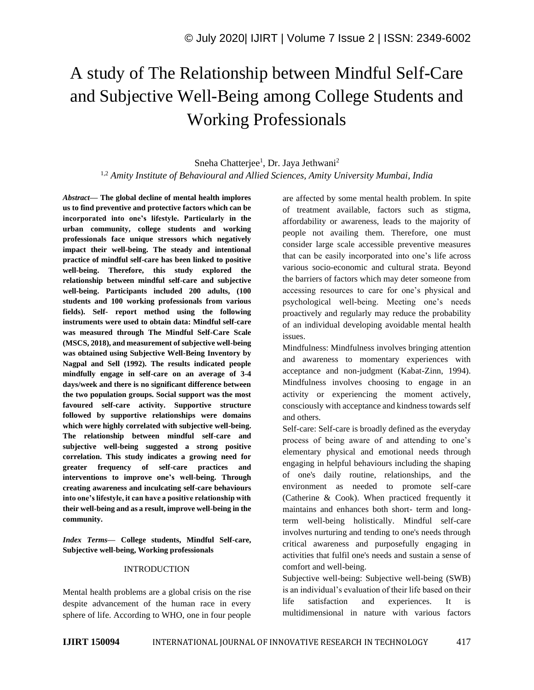# A study of The Relationship between Mindful Self-Care and Subjective Well-Being among College Students and Working Professionals

# Sneha Chatterjee<sup>1</sup>, Dr. Jaya Jethwani<sup>2</sup> 1,2 *Amity Institute of Behavioural and Allied Sciences, Amity University Mumbai, India*

*Abstract—* **The global decline of mental health implores us to find preventive and protective factors which can be incorporated into one's lifestyle. Particularly in the urban community, college students and working professionals face unique stressors which negatively impact their well-being. The steady and intentional practice of mindful self-care has been linked to positive well-being. Therefore, this study explored the relationship between mindful self-care and subjective well-being. Participants included 200 adults, (100 students and 100 working professionals from various fields). Self- report method using the following instruments were used to obtain data: Mindful self-care was measured through The Mindful Self-Care Scale (MSCS, 2018), and measurement of subjective well-being was obtained using Subjective Well-Being Inventory by Nagpal and Sell (1992). The results indicated people mindfully engage in self-care on an average of 3-4 days/week and there is no significant difference between the two population groups. Social support was the most favoured self-care activity. Supportive structure followed by supportive relationships were domains which were highly correlated with subjective well-being. The relationship between mindful self-care and subjective well-being suggested a strong positive correlation. This study indicates a growing need for greater frequency of self-care practices and interventions to improve one's well-being. Through creating awareness and inculcating self-care behaviours into one's lifestyle, it can have a positive relationship with their well-being and as a result, improve well-being in the community.**

*Index Terms—* **College students, Mindful Self-care, Subjective well-being, Working professionals**

#### INTRODUCTION

Mental health problems are a global crisis on the rise despite advancement of the human race in every sphere of life. According to WHO, one in four people are affected by some mental health problem. In spite of treatment available, factors such as stigma, affordability or awareness, leads to the majority of people not availing them. Therefore, one must consider large scale accessible preventive measures that can be easily incorporated into one's life across various socio-economic and cultural strata. Beyond the barriers of factors which may deter someone from accessing resources to care for one's physical and psychological well-being. Meeting one's needs proactively and regularly may reduce the probability of an individual developing avoidable mental health issues.

Mindfulness: Mindfulness involves bringing attention and awareness to momentary experiences with acceptance and non-judgment (Kabat-Zinn, 1994). Mindfulness involves choosing to engage in an activity or experiencing the moment actively, consciously with acceptance and kindness towards self and others.

Self-care: Self-care is broadly defined as the everyday process of being aware of and attending to one's elementary physical and emotional needs through engaging in helpful behaviours including the shaping of one's daily routine, relationships, and the environment as needed to promote self-care (Catherine & Cook). When practiced frequently it maintains and enhances both short- term and longterm well-being holistically. Mindful self-care involves nurturing and tending to one's needs through critical awareness and purposefully engaging in activities that fulfil one's needs and sustain a sense of comfort and well-being.

Subjective well-being: Subjective well-being (SWB) is an individual's evaluation of their life based on their life satisfaction and experiences. It is multidimensional in nature with various factors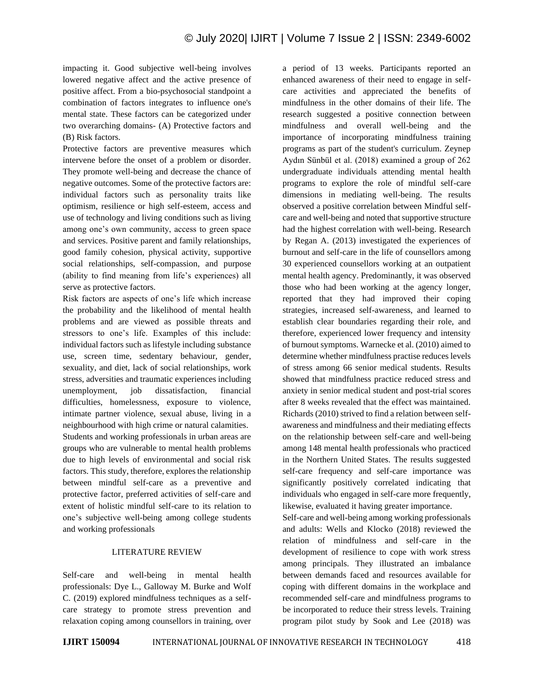impacting it. Good subjective well-being involves lowered negative affect and the active presence of positive affect. From a bio-psychosocial standpoint a combination of factors integrates to influence one's mental state. These factors can be categorized under two overarching domains- (A) Protective factors and (B) Risk factors.

Protective factors are preventive measures which intervene before the onset of a problem or disorder. They promote well-being and decrease the chance of negative outcomes. Some of the protective factors are: individual factors such as personality traits like optimism, resilience or high self-esteem, access and use of technology and living conditions such as living among one's own community, access to green space and services. Positive parent and family relationships, good family cohesion, physical activity, supportive social relationships, self-compassion, and purpose (ability to find meaning from life's experiences) all serve as protective factors.

Risk factors are aspects of one's life which increase the probability and the likelihood of mental health problems and are viewed as possible threats and stressors to one's life. Examples of this include: individual factors such as lifestyle including substance use, screen time, sedentary behaviour, gender, sexuality, and diet, lack of social relationships, work stress, adversities and traumatic experiences including unemployment, job dissatisfaction, financial difficulties, homelessness, exposure to violence, intimate partner violence, sexual abuse, living in a neighbourhood with high crime or natural calamities. Students and working professionals in urban areas are groups who are vulnerable to mental health problems due to high levels of environmental and social risk factors. This study, therefore, explores the relationship between mindful self-care as a preventive and protective factor, preferred activities of self-care and extent of holistic mindful self-care to its relation to one's subjective well-being among college students and working professionals

#### LITERATURE REVIEW

Self-care and well-being in mental health professionals: Dye L., Galloway M. Burke and Wolf C. (2019) explored mindfulness techniques as a selfcare strategy to promote stress prevention and relaxation coping among counsellors in training, over a period of 13 weeks. Participants reported an enhanced awareness of their need to engage in selfcare activities and appreciated the benefits of mindfulness in the other domains of their life. The research suggested a positive connection between mindfulness and overall well-being and the importance of incorporating mindfulness training programs as part of the student's curriculum. Zeynep Aydın Sünbül et al. (2018) examined a group of 262 undergraduate individuals attending mental health programs to explore the role of mindful self-care dimensions in mediating well-being. The results observed a positive correlation between Mindful selfcare and well-being and noted that supportive structure had the highest correlation with well-being. Research by Regan A. (2013) investigated the experiences of burnout and self-care in the life of counsellors among 30 experienced counsellors working at an outpatient mental health agency. Predominantly, it was observed those who had been working at the agency longer, reported that they had improved their coping strategies, increased self-awareness, and learned to establish clear boundaries regarding their role, and therefore, experienced lower frequency and intensity of burnout symptoms. Warnecke et al. (2010) aimed to determine whether mindfulness practise reduces levels of stress among 66 senior medical students. Results showed that mindfulness practice reduced stress and anxiety in senior medical student and post-trial scores after 8 weeks revealed that the effect was maintained. Richards (2010) strived to find a relation between selfawareness and mindfulness and their mediating effects on the relationship between self-care and well-being among 148 mental health professionals who practiced in the Northern United States. The results suggested self-care frequency and self-care importance was significantly positively correlated indicating that individuals who engaged in self-care more frequently, likewise, evaluated it having greater importance.

Self-care and well-being among working professionals and adults: Wells and Klocko (2018) reviewed the relation of mindfulness and self-care in the development of resilience to cope with work stress among principals. They illustrated an imbalance between demands faced and resources available for coping with different domains in the workplace and recommended self-care and mindfulness programs to be incorporated to reduce their stress levels. Training program pilot study by Sook and Lee (2018) was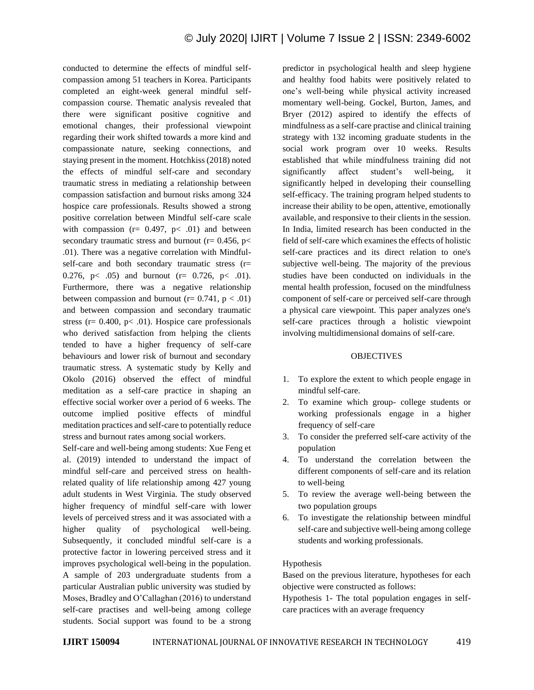conducted to determine the effects of mindful selfcompassion among 51 teachers in Korea. Participants completed an eight-week general mindful selfcompassion course. Thematic analysis revealed that there were significant positive cognitive and emotional changes, their professional viewpoint regarding their work shifted towards a more kind and compassionate nature, seeking connections, and staying present in the moment. Hotchkiss (2018) noted the effects of mindful self-care and secondary traumatic stress in mediating a relationship between compassion satisfaction and burnout risks among 324 hospice care professionals. Results showed a strong positive correlation between Mindful self-care scale with compassion ( $r = 0.497$ ,  $p < .01$ ) and between secondary traumatic stress and burnout ( $r = 0.456$ ,  $p <$ .01). There was a negative correlation with Mindfulself-care and both secondary traumatic stress (r= 0.276, p $\lt$  .05) and burnout (r= 0.726, p $\lt$  .01). Furthermore, there was a negative relationship between compassion and burnout ( $r = 0.741$ ,  $p < .01$ ) and between compassion and secondary traumatic stress ( $r = 0.400$ ,  $p < .01$ ). Hospice care professionals who derived satisfaction from helping the clients tended to have a higher frequency of self-care behaviours and lower risk of burnout and secondary traumatic stress. A systematic study by Kelly and Okolo (2016) observed the effect of mindful meditation as a self-care practice in shaping an effective social worker over a period of 6 weeks. The outcome implied positive effects of mindful meditation practices and self-care to potentially reduce stress and burnout rates among social workers.

Self-care and well-being among students: Xue Feng et al. (2019) intended to understand the impact of mindful self-care and perceived stress on healthrelated quality of life relationship among 427 young adult students in West Virginia. The study observed higher frequency of mindful self-care with lower levels of perceived stress and it was associated with a higher quality of psychological well-being. Subsequently, it concluded mindful self-care is a protective factor in lowering perceived stress and it improves psychological well-being in the population. A sample of 203 undergraduate students from a particular Australian public university was studied by Moses, Bradley and O'Callaghan (2016) to understand self-care practises and well-being among college students. Social support was found to be a strong

predictor in psychological health and sleep hygiene and healthy food habits were positively related to one's well-being while physical activity increased momentary well-being. Gockel, Burton, James, and Bryer (2012) aspired to identify the effects of mindfulness as a self-care practise and clinical training strategy with 132 incoming graduate students in the social work program over 10 weeks. Results established that while mindfulness training did not significantly affect student's well-being, it significantly helped in developing their counselling self-efficacy. The training program helped students to increase their ability to be open, attentive, emotionally available, and responsive to their clients in the session. In India, limited research has been conducted in the field of self-care which examines the effects of holistic self-care practices and its direct relation to one's subjective well-being. The majority of the previous studies have been conducted on individuals in the mental health profession, focused on the mindfulness component of self-care or perceived self-care through a physical care viewpoint. This paper analyzes one's self-care practices through a holistic viewpoint involving multidimensional domains of self-care.

#### OBJECTIVES

- 1. To explore the extent to which people engage in mindful self-care.
- 2. To examine which group- college students or working professionals engage in a higher frequency of self-care
- 3. To consider the preferred self-care activity of the population
- 4. To understand the correlation between the different components of self-care and its relation to well-being
- 5. To review the average well-being between the two population groups
- 6. To investigate the relationship between mindful self-care and subjective well-being among college students and working professionals.

#### Hypothesis

Based on the previous literature, hypotheses for each objective were constructed as follows:

Hypothesis 1- The total population engages in selfcare practices with an average frequency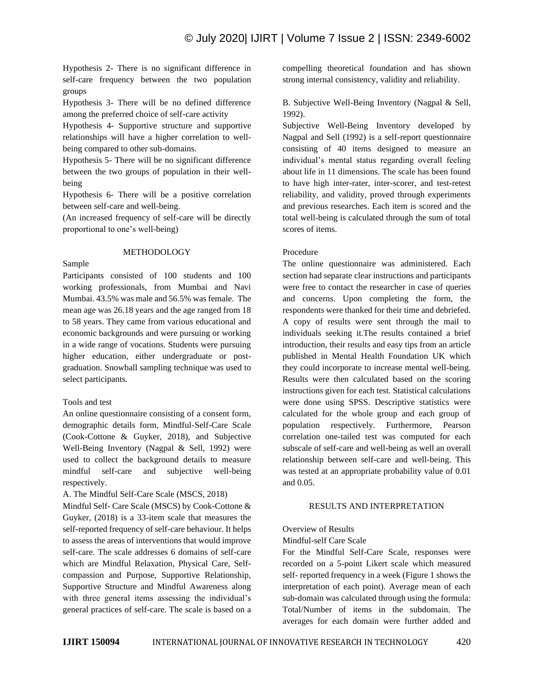Hypothesis 2- There is no significant difference in self-care frequency between the two population groups

Hypothesis 3- There will be no defined difference among the preferred choice of self-care activity

Hypothesis 4- Supportive structure and supportive relationships will have a higher correlation to wellbeing compared to other sub-domains.

Hypothesis 5- There will be no significant difference between the two groups of population in their wellbeing

Hypothesis 6- There will be a positive correlation between self-care and well-being.

(An increased frequency of self-care will be directly proportional to one's well-being)

#### METHODOLOGY

Sample

Participants consisted of 100 students and 100 working professionals, from Mumbai and Navi Mumbai. 43.5% was male and 56.5% was female. The mean age was 26.18 years and the age ranged from 18 to 58 years. They came from various educational and economic backgrounds and were pursuing or working in a wide range of vocations. Students were pursuing higher education, either undergraduate or postgraduation. Snowball sampling technique was used to select participants.

# Tools and test

An online questionnaire consisting of a consent form, demographic details form, Mindful-Self-Care Scale (Cook-Cottone & Guyker, 2018), and Subjective Well-Being Inventory (Nagpal & Sell, 1992) were used to collect the background details to measure mindful self-care and subjective well-being respectively.

#### A. The Mindful Self-Care Scale (MSCS, 2018)

Mindful Self- Care Scale (MSCS) by Cook-Cottone & Guyker, (2018) is a 33-item scale that measures the self-reported frequency of self-care behaviour. It helps to assess the areas of interventions that would improve self-care. The scale addresses 6 domains of self-care which are Mindful Relaxation, Physical Care, Selfcompassion and Purpose, Supportive Relationship, Supportive Structure and Mindful Awareness along with three general items assessing the individual's general practices of self-care. The scale is based on a compelling theoretical foundation and has shown strong internal consistency, validity and reliability.

B. Subjective Well-Being Inventory (Nagpal & Sell, 1992).

Subjective Well-Being Inventory developed by Nagpal and Sell (1992) is a self-report questionnaire consisting of 40 items designed to measure an individual's mental status regarding overall feeling about life in 11 dimensions. The scale has been found to have high inter-rater, inter-scorer, and test-retest reliability, and validity, proved through experiments and previous researches. Each item is scored and the total well-being is calculated through the sum of total scores of items.

#### Procedure

The online questionnaire was administered. Each section had separate clear instructions and participants were free to contact the researcher in case of queries and concerns. Upon completing the form, the respondents were thanked for their time and debriefed. A copy of results were sent through the mail to individuals seeking it.The results contained a brief introduction, their results and easy tips from an article published in Mental Health Foundation UK which they could incorporate to increase mental well-being. Results were then calculated based on the scoring instructions given for each test. Statistical calculations were done using SPSS. Descriptive statistics were calculated for the whole group and each group of population respectively. Furthermore, Pearson correlation one-tailed test was computed for each subscale of self-care and well-being as well an overall relationship between self-care and well-being. This was tested at an appropriate probability value of 0.01 and 0.05.

#### RESULTS AND INTERPRETATION

# Overview of Results

#### Mindful-self Care Scale

For the Mindful Self-Care Scale, responses were recorded on a 5-point Likert scale which measured self- reported frequency in a week (Figure 1 shows the interpretation of each point). Average mean of each sub-domain was calculated through using the formula: Total/Number of items in the subdomain. The averages for each domain were further added and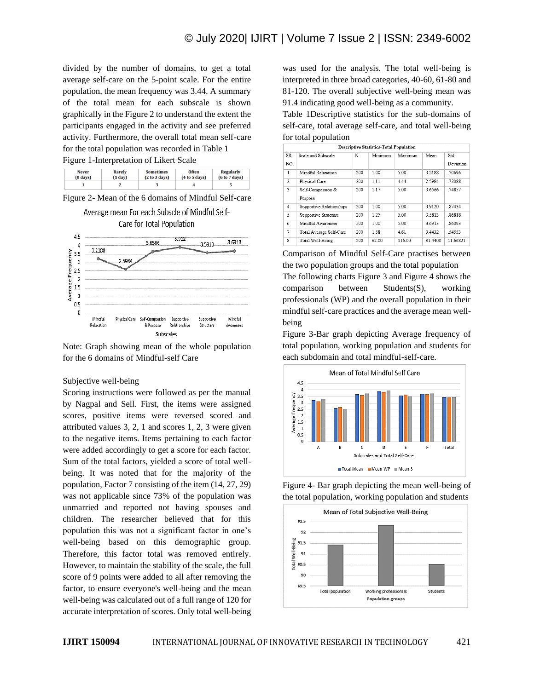divided by the number of domains, to get a total average self-care on the 5-point scale. For the entire population, the mean frequency was 3.44. A summary of the total mean for each subscale is shown graphically in the Figure 2 to understand the extent the participants engaged in the activity and see preferred activity. Furthermore, the overall total mean self-care for the total population was recorded in Table 1 Figure 1-Interpretation of Likert Scale

| <b>Never</b>       | <b>Rarely</b>     |  | <b>Often</b>  | <b>Regularly</b> |  |  |
|--------------------|-------------------|--|---------------|------------------|--|--|
| $(0 \text{ days})$ | $(1 \text{ day})$ |  | (4 to 5 days) | (6 to 7 days)    |  |  |
|                    |                   |  |               |                  |  |  |

Figure 2- Mean of the 6 domains of Mindful Self-care Average mean For each Subscle of Mindful Self-

Care for Total Population



Note: Graph showing mean of the whole population for the 6 domains of Mindful-self Care

#### Subjective well-being

Scoring instructions were followed as per the manual by Nagpal and Sell. First, the items were assigned scores, positive items were reversed scored and attributed values 3, 2, 1 and scores 1, 2, 3 were given to the negative items. Items pertaining to each factor were added accordingly to get a score for each factor. Sum of the total factors, yielded a score of total wellbeing. It was noted that for the majority of the population, Factor 7 consisting of the item (14, 27, 29) was not applicable since 73% of the population was unmarried and reported not having spouses and children. The researcher believed that for this population this was not a significant factor in one's well-being based on this demographic group. Therefore, this factor total was removed entirely. However, to maintain the stability of the scale, the full score of 9 points were added to all after removing the factor, to ensure everyone's well-being and the mean well-being was calculated out of a full range of 120 for accurate interpretation of scores. Only total well-being

was used for the analysis. The total well-being is interpreted in three broad categories, 40-60, 61-80 and 81-120. The overall subjective well-being mean was 91.4 indicating good well-being as a community.

Table 1Descriptive statistics for the sub-domains of self-care, total average self-care, and total well-being for total population

| <b>Descriptive Statistics-Total Population</b> |                              |     |         |         |         |                  |  |  |
|------------------------------------------------|------------------------------|-----|---------|---------|---------|------------------|--|--|
| SR<br>NO.                                      | Scale and Subscale           | N   | Minimum | Maximum | Mean    | Std<br>Deviation |  |  |
| $\mathbf{1}$                                   | Mindful Relaxation           | 200 | 1.00    | 5.00    | 3.2188  | .70696           |  |  |
| $\mathfrak{D}$                                 | Physical Care                | 200 | 1.11    | 4 4 4   | 2.5984  | 72088            |  |  |
| 3                                              | Self-Compassion &<br>Purpose | 200 | 1.17    | 5.00    | 3.6566  | .74857           |  |  |
| $\overline{4}$                                 | Supportive Relationships     | 200 | 1.00    | 5.00    | 39120   | 87434            |  |  |
| 5                                              | Supportive Structure         | 200 | 1.25    | 5.00    | 3.5813  | 86818            |  |  |
| 6                                              | Mindful Awareness            | 200 | 1.00    | 5.00    | 3.6913  | .86093           |  |  |
| 7                                              | Total Average Self-Care      | 200 | 1.58    | 4.61    | 3.4432  | 54553            |  |  |
| g                                              | Total Well-Being             | 200 | 62.00   | 116.00  | 91.4400 | 11.66821         |  |  |

Comparison of Mindful Self-Care practises between the two population groups and the total population The following charts Figure 3 and Figure 4 shows the comparison between Students(S), working professionals (WP) and the overall population in their mindful self-care practices and the average mean wellbeing

Figure 3-Bar graph depicting Average frequency of total population, working population and students for each subdomain and total mindful-self-care.





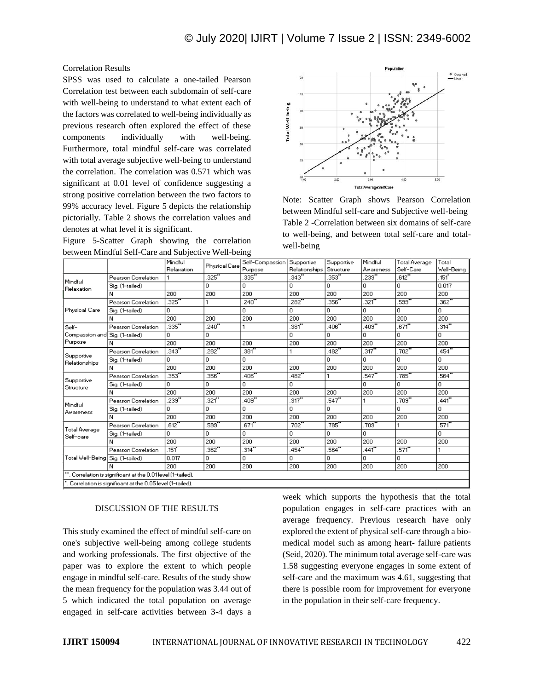Correlation Results

SPSS was used to calculate a one-tailed Pearson Correlation test between each subdomain of self-care with well-being to understand to what extent each of the factors was correlated to well-being individually as previous research often explored the effect of these components individually with well-being. Furthermore, total mindful self-care was correlated with total average subjective well-being to understand the correlation. The correlation was 0.571 which was significant at 0.01 level of confidence suggesting a strong positive correlation between the two factors to 99% accuracy level. Figure 5 depicts the relationship pictorially. Table 2 shows the correlation values and denotes at what level it is significant.

Figure 5-Scatter Graph showing the correlation between Mindful Self-Care and Subjective Well-being



Note: Scatter Graph shows Pearson Correlation between Mindful self-care and Subjective well-being Table 2 -Correlation between six domains of self-care to well-being, and between total self-care and totalwell-being

|                                                            |                                                            | Mindful    |               | Self-Compassion Supportive |                      | Supportive | Mindful    | <b>Total Average</b> | Total      |
|------------------------------------------------------------|------------------------------------------------------------|------------|---------------|----------------------------|----------------------|------------|------------|----------------------|------------|
|                                                            |                                                            | Relaxation | Physical Care | Purpose                    | <b>Relationships</b> | Structure  | Aw areness | Self-Care            | Well-Beina |
| Mindful<br>Relaxation                                      | Pearson Correlation                                        |            | 325           | 335                        | 343                  | .353**     | 239"       | .612                 | .151       |
|                                                            | Sig. (1-tailed)                                            |            | 0.            | 0.                         | 0.                   | 0.         | Ω.         | Ω.                   | 0.017      |
|                                                            | Ν                                                          | 200        | 200           | 200                        | 200                  | 200        | 200        | 200                  | 200        |
| Physical Care                                              | Pearson Correlation                                        | 325        |               | 240"                       | 282                  | 356        | 321        | 599                  | .362"      |
|                                                            | Sig. (1-tailed)                                            | n          |               | n.                         | 0                    | n.         | 0          | Ω.                   | 0          |
|                                                            | Ν                                                          | 200        | 200           | 200                        | 200                  | 200        | 200        | 200                  | 200        |
| Self-<br>Compassion and<br>Purpose                         | Pearson Correlation                                        | 335"       | 240           |                            | 381"                 | 406"       | 409"       | 671"                 | 314        |
|                                                            | Sig. (1-tailed)                                            | 0.         | 0.            |                            | 0.                   | 0.         | ο          | Ω.                   | 0.         |
|                                                            | Ν                                                          | 200        | 200           | 200                        | 200                  | 200        | 200        | 200                  | 200        |
| Supportive<br>Relationships                                | Pearson Correlation                                        | 343"       | 282           | 381"                       |                      | 482        | 317        | 702                  | 454"       |
|                                                            | Sig. (1-tailed)                                            | n.         | 0.            | O.                         |                      | n          | 0          | Ω.                   | 0          |
|                                                            | Ν                                                          | 200        | 200           | 200                        | 200                  | 200        | 200        | 200                  | 200        |
| Supportive<br>Structure                                    | Pearson Correlation                                        | 353        | 356           | 406"                       | 482                  |            | 547"       | 785                  | 564        |
|                                                            | Sig. (1-tailed)                                            | n.         | 0.            | n.                         | 0.                   |            | ۵          | 0.                   | 0.         |
|                                                            | Ν                                                          | 200        | 200           | 200                        | 200                  | 200        | 200        | 200                  | 200        |
| Mindful<br>Awareness                                       | Pearson Correlation                                        | 239"       | 321           | .409                       | .317                 | .547       |            | .709"                | 441"       |
|                                                            | Sig. (1-tailed)                                            | 0.         | 0.            | 0.                         | Ω.                   | 0.         |            | Ω.                   | 0.         |
|                                                            | Ν                                                          | 200        | 200           | 200                        | 200                  | 200        | 200        | 200                  | 200        |
| <b>Total Average</b><br>Self-care                          | Pearson Correlation                                        | .612       | 599           | .671"                      | .702                 | 785        | 709        |                      | 571"       |
|                                                            | Sig. (1-tailed)                                            | n.         | n.            | n.                         | 0                    | 0.         | 0          |                      | 0          |
|                                                            | Ν                                                          | 200        | 200           | 200                        | 200                  | 200        | 200        | 200                  | 200        |
| Total Well-Being Sig. (1-tailed)                           | Pearson Correlation                                        | 151        | 362           | .314                       | 454                  | .564       | 441        | 571"                 |            |
|                                                            |                                                            | 0.017      | 0.            | 0                          | ο.                   | 0.         | 0          | Ω.                   |            |
|                                                            |                                                            | 200        | 200           | 200                        | 200                  | 200        | 200        | 200                  | 200        |
| . Correlation is significant at the 0.01 level (1-tailed). |                                                            |            |               |                            |                      |            |            |                      |            |
|                                                            | . Correlation is significant at the 0.05 level (1-tailed). |            |               |                            |                      |            |            |                      |            |

# DISCUSSION OF THE RESULTS

This study examined the effect of mindful self-care on one's subjective well-being among college students and working professionals. The first objective of the paper was to explore the extent to which people engage in mindful self-care. Results of the study show the mean frequency for the population was 3.44 out of 5 which indicated the total population on average engaged in self-care activities between 3-4 days a week which supports the hypothesis that the total population engages in self-care practices with an average frequency. Previous research have only explored the extent of physical self-care through a biomedical model such as among heart- failure patients (Seid, 2020). The minimum total average self-care was 1.58 suggesting everyone engages in some extent of self-care and the maximum was 4.61, suggesting that there is possible room for improvement for everyone in the population in their self-care frequency.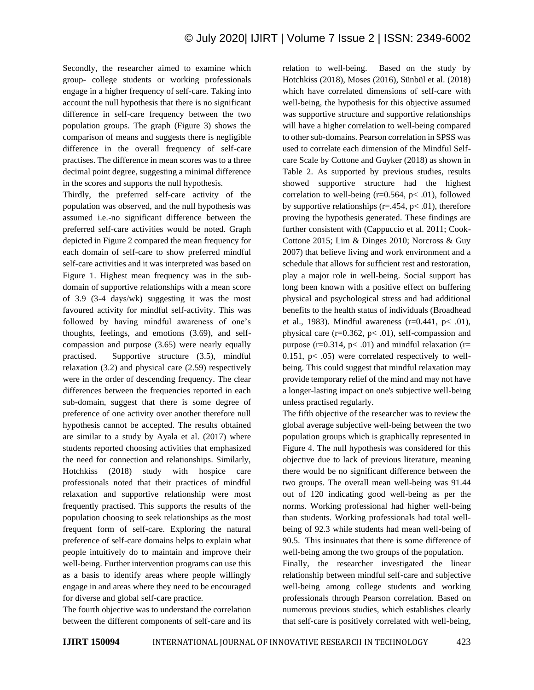Secondly, the researcher aimed to examine which group- college students or working professionals engage in a higher frequency of self-care. Taking into account the null hypothesis that there is no significant difference in self-care frequency between the two population groups. The graph (Figure 3) shows the comparison of means and suggests there is negligible difference in the overall frequency of self-care practises. The difference in mean scores was to a three decimal point degree, suggesting a minimal difference in the scores and supports the null hypothesis.

Thirdly, the preferred self-care activity of the population was observed, and the null hypothesis was assumed i.e.-no significant difference between the preferred self-care activities would be noted. Graph depicted in Figure 2 compared the mean frequency for each domain of self-care to show preferred mindful self-care activities and it was interpreted was based on Figure 1. Highest mean frequency was in the subdomain of supportive relationships with a mean score of 3.9 (3-4 days/wk) suggesting it was the most favoured activity for mindful self-activity. This was followed by having mindful awareness of one's thoughts, feelings, and emotions (3.69), and selfcompassion and purpose (3.65) were nearly equally practised. Supportive structure (3.5), mindful relaxation (3.2) and physical care (2.59) respectively were in the order of descending frequency. The clear differences between the frequencies reported in each sub-domain, suggest that there is some degree of preference of one activity over another therefore null hypothesis cannot be accepted. The results obtained are similar to a study by Ayala et al. (2017) where students reported choosing activities that emphasized the need for connection and relationships. Similarly, Hotchkiss (2018) study with hospice care professionals noted that their practices of mindful relaxation and supportive relationship were most frequently practised. This supports the results of the population choosing to seek relationships as the most frequent form of self-care. Exploring the natural preference of self-care domains helps to explain what people intuitively do to maintain and improve their well-being. Further intervention programs can use this as a basis to identify areas where people willingly engage in and areas where they need to be encouraged for diverse and global self-care practice.

The fourth objective was to understand the correlation between the different components of self-care and its relation to well-being. Based on the study by Hotchkiss (2018), Moses (2016), Sünbül et al. (2018) which have correlated dimensions of self-care with well-being, the hypothesis for this objective assumed was supportive structure and supportive relationships will have a higher correlation to well-being compared to other sub-domains. Pearson correlation in SPSS was used to correlate each dimension of the Mindful Selfcare Scale by Cottone and Guyker (2018) as shown in Table 2. As supported by previous studies, results showed supportive structure had the highest correlation to well-being  $(r=0.564, p<-01)$ , followed by supportive relationships ( $r = .454$ ,  $p < .01$ ), therefore proving the hypothesis generated. These findings are further consistent with (Cappuccio et al. 2011; Cook-Cottone 2015; Lim & Dinges 2010; Norcross & Guy 2007) that believe living and work environment and a schedule that allows for sufficient rest and restoration, play a major role in well-being. Social support has long been known with a positive effect on buffering physical and psychological stress and had additional benefits to the health status of individuals (Broadhead et al., 1983). Mindful awareness ( $r=0.441$ ,  $p<.01$ ), physical care  $(r=0.362, p<.01)$ , self-compassion and purpose ( $r=0.314$ ,  $p<.01$ ) and mindful relaxation ( $r=$ 0.151,  $p < .05$ ) were correlated respectively to wellbeing. This could suggest that mindful relaxation may provide temporary relief of the mind and may not have a longer-lasting impact on one's subjective well-being unless practised regularly.

The fifth objective of the researcher was to review the global average subjective well-being between the two population groups which is graphically represented in Figure 4. The null hypothesis was considered for this objective due to lack of previous literature, meaning there would be no significant difference between the two groups. The overall mean well-being was 91.44 out of 120 indicating good well-being as per the norms. Working professional had higher well-being than students. Working professionals had total wellbeing of 92.3 while students had mean well-being of 90.5. This insinuates that there is some difference of well-being among the two groups of the population.

Finally, the researcher investigated the linear relationship between mindful self-care and subjective well-being among college students and working professionals through Pearson correlation. Based on numerous previous studies, which establishes clearly that self-care is positively correlated with well-being,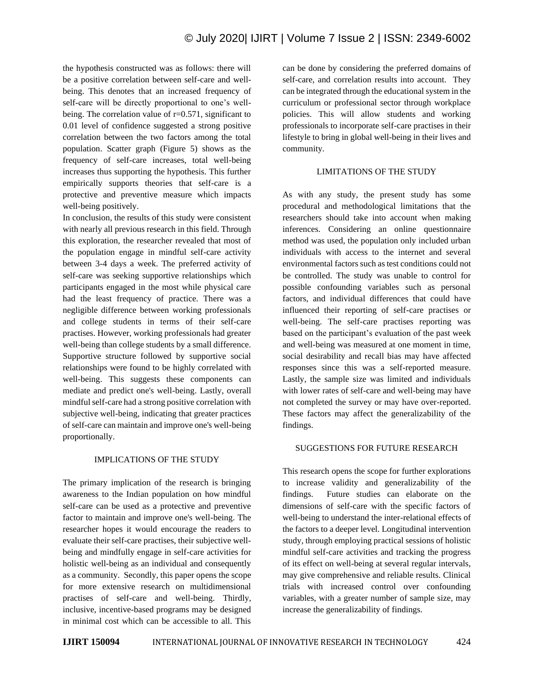the hypothesis constructed was as follows: there will be a positive correlation between self-care and wellbeing. This denotes that an increased frequency of self-care will be directly proportional to one's wellbeing. The correlation value of  $r=0.571$ , significant to 0.01 level of confidence suggested a strong positive correlation between the two factors among the total population. Scatter graph (Figure 5) shows as the frequency of self-care increases, total well-being increases thus supporting the hypothesis. This further empirically supports theories that self-care is a protective and preventive measure which impacts well-being positively.

In conclusion, the results of this study were consistent with nearly all previous research in this field. Through this exploration, the researcher revealed that most of the population engage in mindful self-care activity between 3-4 days a week. The preferred activity of self-care was seeking supportive relationships which participants engaged in the most while physical care had the least frequency of practice. There was a negligible difference between working professionals and college students in terms of their self-care practises. However, working professionals had greater well-being than college students by a small difference. Supportive structure followed by supportive social relationships were found to be highly correlated with well-being. This suggests these components can mediate and predict one's well-being. Lastly, overall mindful self-care had a strong positive correlation with subjective well-being, indicating that greater practices of self-care can maintain and improve one's well-being proportionally.

# IMPLICATIONS OF THE STUDY

The primary implication of the research is bringing awareness to the Indian population on how mindful self-care can be used as a protective and preventive factor to maintain and improve one's well-being. The researcher hopes it would encourage the readers to evaluate their self-care practises, their subjective wellbeing and mindfully engage in self-care activities for holistic well-being as an individual and consequently as a community. Secondly, this paper opens the scope for more extensive research on multidimensional practises of self-care and well-being. Thirdly, inclusive, incentive-based programs may be designed in minimal cost which can be accessible to all. This

can be done by considering the preferred domains of self-care, and correlation results into account. They can be integrated through the educational system in the curriculum or professional sector through workplace policies. This will allow students and working professionals to incorporate self-care practises in their lifestyle to bring in global well-being in their lives and community.

#### LIMITATIONS OF THE STUDY

As with any study, the present study has some procedural and methodological limitations that the researchers should take into account when making inferences. Considering an online questionnaire method was used, the population only included urban individuals with access to the internet and several environmental factors such as test conditions could not be controlled. The study was unable to control for possible confounding variables such as personal factors, and individual differences that could have influenced their reporting of self-care practises or well-being. The self-care practises reporting was based on the participant's evaluation of the past week and well-being was measured at one moment in time, social desirability and recall bias may have affected responses since this was a self-reported measure. Lastly, the sample size was limited and individuals with lower rates of self-care and well-being may have not completed the survey or may have over-reported. These factors may affect the generalizability of the findings.

# SUGGESTIONS FOR FUTURE RESEARCH

This research opens the scope for further explorations to increase validity and generalizability of the findings. Future studies can elaborate on the dimensions of self-care with the specific factors of well-being to understand the inter-relational effects of the factors to a deeper level. Longitudinal intervention study, through employing practical sessions of holistic mindful self-care activities and tracking the progress of its effect on well-being at several regular intervals, may give comprehensive and reliable results. Clinical trials with increased control over confounding variables, with a greater number of sample size, may increase the generalizability of findings.